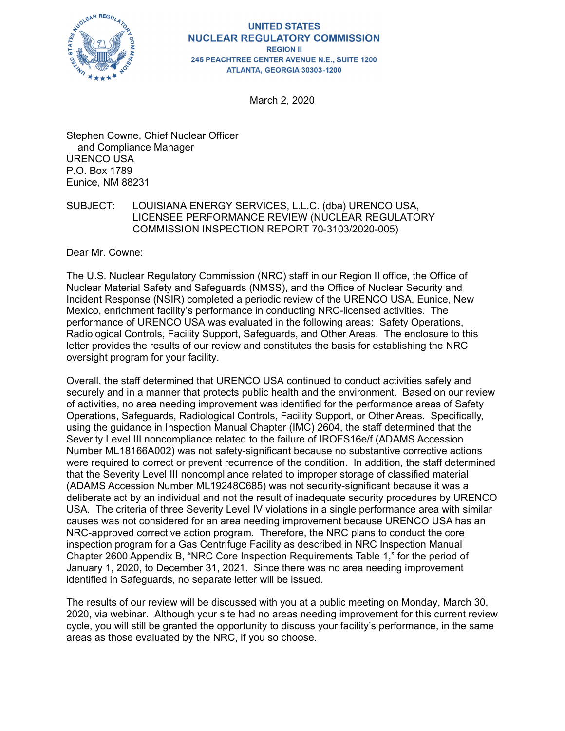

### **UNITED STATES NUCLEAR REGULATORY COMMISSION REGION II 245 PEACHTREE CENTER AVENUE N.E., SUITE 1200** ATLANTA, GEORGIA 30303-1200

March 2, 2020

Stephen Cowne, Chief Nuclear Officer and Compliance Manager URENCO USA P.O. Box 1789 Eunice, NM 88231

# SUBJECT: LOUISIANA ENERGY SERVICES, L.L.C. (dba) URENCO USA, LICENSEE PERFORMANCE REVIEW (NUCLEAR REGULATORY COMMISSION INSPECTION REPORT 70-3103/2020-005)

Dear Mr. Cowne:

The U.S. Nuclear Regulatory Commission (NRC) staff in our Region II office, the Office of Nuclear Material Safety and Safeguards (NMSS), and the Office of Nuclear Security and Incident Response (NSIR) completed a periodic review of the URENCO USA, Eunice, New Mexico, enrichment facility's performance in conducting NRC-licensed activities. The performance of URENCO USA was evaluated in the following areas: Safety Operations, Radiological Controls, Facility Support, Safeguards, and Other Areas. The enclosure to this letter provides the results of our review and constitutes the basis for establishing the NRC oversight program for your facility.

Overall, the staff determined that URENCO USA continued to conduct activities safely and securely and in a manner that protects public health and the environment. Based on our review of activities, no area needing improvement was identified for the performance areas of Safety Operations, Safeguards, Radiological Controls, Facility Support, or Other Areas. Specifically, using the guidance in Inspection Manual Chapter (IMC) 2604, the staff determined that the Severity Level III noncompliance related to the failure of IROFS16e/f (ADAMS Accession Number ML18166A002) was not safety-significant because no substantive corrective actions were required to correct or prevent recurrence of the condition. In addition, the staff determined that the Severity Level III noncompliance related to improper storage of classified material (ADAMS Accession Number ML19248C685) was not security-significant because it was a deliberate act by an individual and not the result of inadequate security procedures by URENCO USA. The criteria of three Severity Level IV violations in a single performance area with similar causes was not considered for an area needing improvement because URENCO USA has an NRC-approved corrective action program. Therefore, the NRC plans to conduct the core inspection program for a Gas Centrifuge Facility as described in NRC Inspection Manual Chapter 2600 Appendix B, "NRC Core Inspection Requirements Table 1," for the period of January 1, 2020, to December 31, 2021. Since there was no area needing improvement identified in Safeguards, no separate letter will be issued.

The results of our review will be discussed with you at a public meeting on Monday, March 30, 2020, via webinar. Although your site had no areas needing improvement for this current review cycle, you will still be granted the opportunity to discuss your facility's performance, in the same areas as those evaluated by the NRC, if you so choose.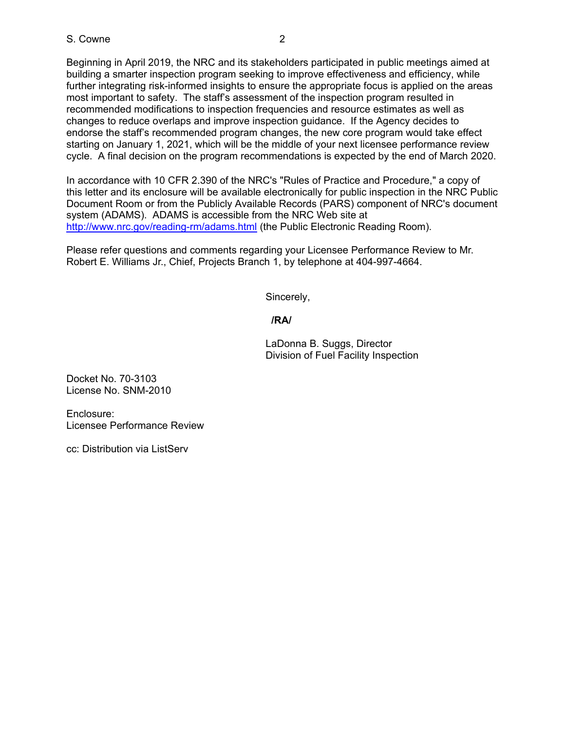Beginning in April 2019, the NRC and its stakeholders participated in public meetings aimed at building a smarter inspection program seeking to improve effectiveness and efficiency, while further integrating risk-informed insights to ensure the appropriate focus is applied on the areas most important to safety. The staff's assessment of the inspection program resulted in recommended modifications to inspection frequencies and resource estimates as well as changes to reduce overlaps and improve inspection guidance. If the Agency decides to endorse the staff's recommended program changes, the new core program would take effect starting on January 1, 2021, which will be the middle of your next licensee performance review cycle. A final decision on the program recommendations is expected by the end of March 2020.

In accordance with 10 CFR 2.390 of the NRC's "Rules of Practice and Procedure," a copy of this letter and its enclosure will be available electronically for public inspection in the NRC Public Document Room or from the Publicly Available Records (PARS) component of NRC's document system (ADAMS). ADAMS is accessible from the NRC Web site at http://www.nrc.gov/reading-rm/adams.html (the Public Electronic Reading Room).

Please refer questions and comments regarding your Licensee Performance Review to Mr. Robert E. Williams Jr., Chief, Projects Branch 1, by telephone at 404-997-4664.

Sincerely,

# **/RA/**

LaDonna B. Suggs, Director Division of Fuel Facility Inspection

Docket No. 70-3103 License No. SNM-2010

Enclosure: Licensee Performance Review

cc: Distribution via ListServ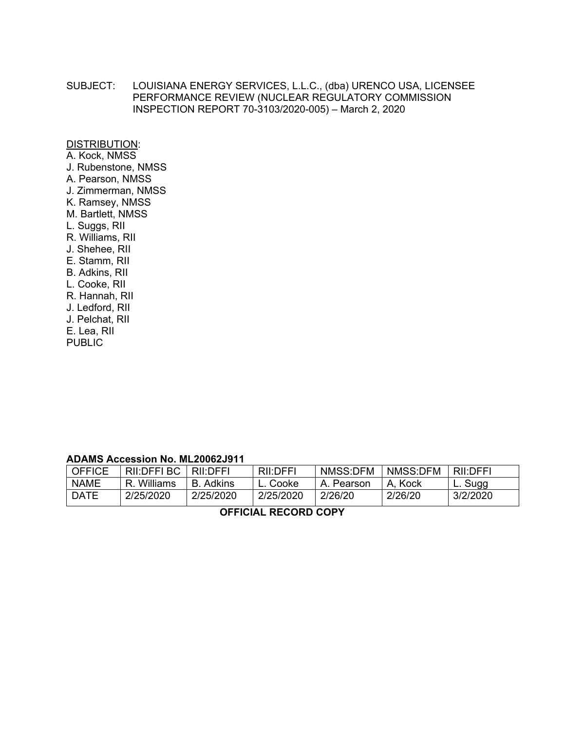SUBJECT: LOUISIANA ENERGY SERVICES, L.L.C., (dba) URENCO USA, LICENSEE PERFORMANCE REVIEW (NUCLEAR REGULATORY COMMISSION INSPECTION REPORT 70-3103/2020-005) – March 2, 2020

DISTRIBUTION:

A. Kock, NMSS J. Rubenstone, NMSS A. Pearson, NMSS J. Zimmerman, NMSS K. Ramsey, NMSS M. Bartlett, NMSS L. Suggs, RII R. Williams, RII J. Shehee, RII E. Stamm, RII B. Adkins, RII L. Cooke, RII R. Hannah, RII J. Ledford, RII J. Pelchat, RII E. Lea, RII PUBLIC

# **ADAMS Accession No. ML20062J911**

| <b>OFFICE</b> | RII:DFFI BC | <b>RII:DEFI</b> | RII:DFFI  | NMSS:DFM   | NMSS:DFM | <b>RII:DEFI</b> |
|---------------|-------------|-----------------|-----------|------------|----------|-----------------|
| <b>NAME</b>   | R Williams  | <b>B</b> Adkins | L. Cooke  | A. Pearson | A. Kock  | L. Sugg         |
| <b>DATE</b>   | 2/25/2020   | 2/25/2020       | 2/25/2020 | 2/26/20    | 2/26/20  | 3/2/2020        |

**OFFICIAL RECORD COPY**